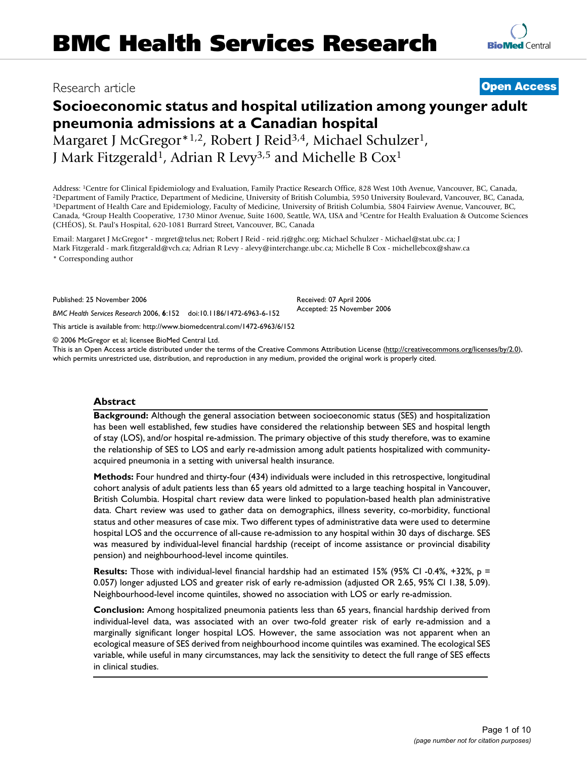# **Socioeconomic status and hospital utilization among younger adult pneumonia admissions at a Canadian hospital**

Margaret J McGregor<sup>\*1,2</sup>, Robert J Reid<sup>3,4</sup>, Michael Schulzer<sup>1</sup>, J Mark Fitzgerald1, Adrian R Levy3,5 and Michelle B Cox1

Address: <sup>1</sup>Centre for Clinical Epidemiology and Evaluation, Family Practice Research Office, 828 West 10th Avenue, Vancouver, BC, Canada,<br><sup>2</sup>Department of Family Practice, Department of Medicine, University of British Col Canada, 4Group Health Cooperative, 1730 Minor Avenue, Suite 1600, Seattle, WA, USA and 5Centre for Health Evaluation & Outcome Sciences (CHÉOS), St. Paul's Hospital, 620-1081 Burrard Street, Vancouver, BC, Canada

Email: Margaret J McGregor\* - mrgret@telus.net; Robert J Reid - reid.rj@ghc.org; Michael Schulzer - Michael@stat.ubc.ca; J Mark Fitzgerald - mark.fitzgerald@vch.ca; Adrian R Levy - alevy@interchange.ubc.ca; Michelle B Cox - michellebcox@shaw.ca \* Corresponding author

Published: 25 November 2006

*BMC Health Services Research* 2006, **6**:152 doi:10.1186/1472-6963-6-152

[This article is available from: http://www.biomedcentral.com/1472-6963/6/152](http://www.biomedcentral.com/1472-6963/6/152)

© 2006 McGregor et al; licensee BioMed Central Ltd.

This is an Open Access article distributed under the terms of the Creative Commons Attribution License [\(http://creativecommons.org/licenses/by/2.0\)](http://creativecommons.org/licenses/by/2.0), which permits unrestricted use, distribution, and reproduction in any medium, provided the original work is properly cited.

# **Abstract**

**Background:** Although the general association between socioeconomic status (SES) and hospitalization has been well established, few studies have considered the relationship between SES and hospital length of stay (LOS), and/or hospital re-admission. The primary objective of this study therefore, was to examine the relationship of SES to LOS and early re-admission among adult patients hospitalized with communityacquired pneumonia in a setting with universal health insurance.

**Methods:** Four hundred and thirty-four (434) individuals were included in this retrospective, longitudinal cohort analysis of adult patients less than 65 years old admitted to a large teaching hospital in Vancouver, British Columbia. Hospital chart review data were linked to population-based health plan administrative data. Chart review was used to gather data on demographics, illness severity, co-morbidity, functional status and other measures of case mix. Two different types of administrative data were used to determine hospital LOS and the occurrence of all-cause re-admission to any hospital within 30 days of discharge. SES was measured by individual-level financial hardship (receipt of income assistance or provincial disability pension) and neighbourhood-level income quintiles.

**Results:** Those with individual-level financial hardship had an estimated 15% (95% CI -0.4%, +32%, p = 0.057) longer adjusted LOS and greater risk of early re-admission (adjusted OR 2.65, 95% CI 1.38, 5.09). Neighbourhood-level income quintiles, showed no association with LOS or early re-admission.

**Conclusion:** Among hospitalized pneumonia patients less than 65 years, financial hardship derived from individual-level data, was associated with an over two-fold greater risk of early re-admission and a marginally significant longer hospital LOS. However, the same association was not apparent when an ecological measure of SES derived from neighbourhood income quintiles was examined. The ecological SES variable, while useful in many circumstances, may lack the sensitivity to detect the full range of SES effects in clinical studies.

# Research article **[Open Access](http://www.biomedcentral.com/info/about/charter/)**

Received: 07 April 2006 Accepted: 25 November 2006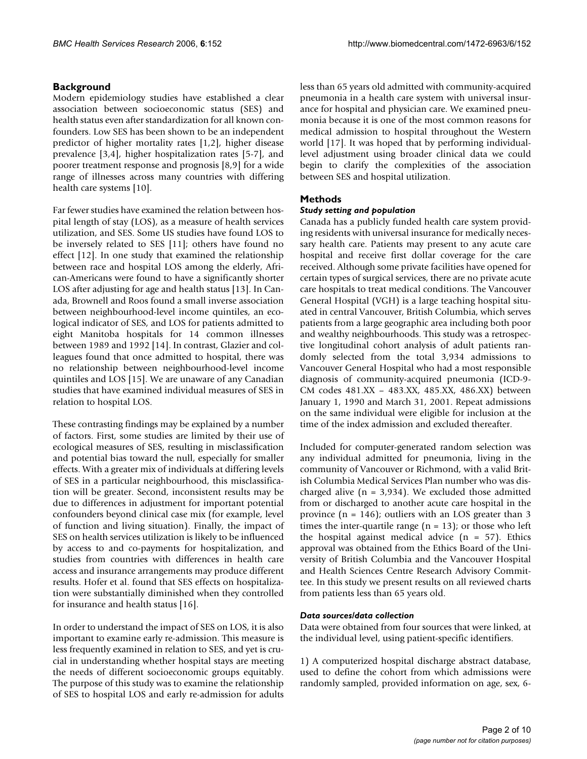# **Background**

Modern epidemiology studies have established a clear association between socioeconomic status (SES) and health status even after standardization for all known confounders. Low SES has been shown to be an independent predictor of higher mortality rates [1,2], higher disease prevalence [3,4], higher hospitalization rates [5-7], and poorer treatment response and prognosis [8,9] for a wide range of illnesses across many countries with differing health care systems [10].

Far fewer studies have examined the relation between hospital length of stay (LOS), as a measure of health services utilization, and SES. Some US studies have found LOS to be inversely related to SES [11]; others have found no effect [12]. In one study that examined the relationship between race and hospital LOS among the elderly, African-Americans were found to have a significantly shorter LOS after adjusting for age and health status [13]. In Canada, Brownell and Roos found a small inverse association between neighbourhood-level income quintiles, an ecological indicator of SES, and LOS for patients admitted to eight Manitoba hospitals for 14 common illnesses between 1989 and 1992 [14]. In contrast, Glazier and colleagues found that once admitted to hospital, there was no relationship between neighbourhood-level income quintiles and LOS [15]. We are unaware of any Canadian studies that have examined individual measures of SES in relation to hospital LOS.

These contrasting findings may be explained by a number of factors. First, some studies are limited by their use of ecological measures of SES, resulting in misclassification and potential bias toward the null, especially for smaller effects. With a greater mix of individuals at differing levels of SES in a particular neighbourhood, this misclassification will be greater. Second, inconsistent results may be due to differences in adjustment for important potential confounders beyond clinical case mix (for example, level of function and living situation). Finally, the impact of SES on health services utilization is likely to be influenced by access to and co-payments for hospitalization, and studies from countries with differences in health care access and insurance arrangements may produce different results. Hofer et al. found that SES effects on hospitalization were substantially diminished when they controlled for insurance and health status [16].

In order to understand the impact of SES on LOS, it is also important to examine early re-admission. This measure is less frequently examined in relation to SES, and yet is crucial in understanding whether hospital stays are meeting the needs of different socioeconomic groups equitably. The purpose of this study was to examine the relationship of SES to hospital LOS and early re-admission for adults less than 65 years old admitted with community-acquired pneumonia in a health care system with universal insurance for hospital and physician care. We examined pneumonia because it is one of the most common reasons for medical admission to hospital throughout the Western world [17]. It was hoped that by performing individuallevel adjustment using broader clinical data we could begin to clarify the complexities of the association between SES and hospital utilization.

# **Methods**

### *Study setting and population*

Canada has a publicly funded health care system providing residents with universal insurance for medically necessary health care. Patients may present to any acute care hospital and receive first dollar coverage for the care received. Although some private facilities have opened for certain types of surgical services, there are no private acute care hospitals to treat medical conditions. The Vancouver General Hospital (VGH) is a large teaching hospital situated in central Vancouver, British Columbia, which serves patients from a large geographic area including both poor and wealthy neighbourhoods. This study was a retrospective longitudinal cohort analysis of adult patients randomly selected from the total 3,934 admissions to Vancouver General Hospital who had a most responsible diagnosis of community-acquired pneumonia (ICD-9- CM codes 481.XX – 483.XX, 485.XX, 486.XX) between January 1, 1990 and March 31, 2001. Repeat admissions on the same individual were eligible for inclusion at the time of the index admission and excluded thereafter.

Included for computer-generated random selection was any individual admitted for pneumonia, living in the community of Vancouver or Richmond, with a valid British Columbia Medical Services Plan number who was discharged alive  $(n = 3,934)$ . We excluded those admitted from or discharged to another acute care hospital in the province  $(n = 146)$ ; outliers with an LOS greater than 3 times the inter-quartile range  $(n = 13)$ ; or those who left the hospital against medical advice  $(n = 57)$ . Ethics approval was obtained from the Ethics Board of the University of British Columbia and the Vancouver Hospital and Health Sciences Centre Research Advisory Committee. In this study we present results on all reviewed charts from patients less than 65 years old.

#### *Data sources/data collection*

Data were obtained from four sources that were linked, at the individual level, using patient-specific identifiers.

1) A computerized hospital discharge abstract database, used to define the cohort from which admissions were randomly sampled, provided information on age, sex, 6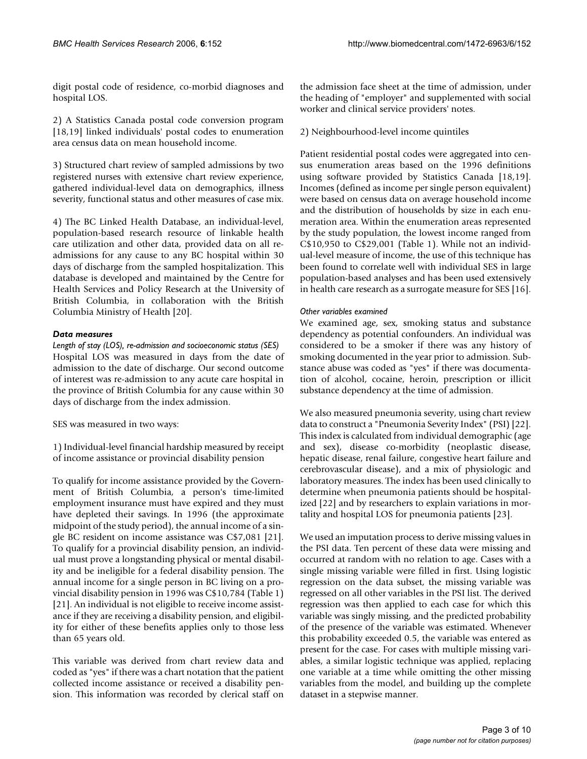digit postal code of residence, co-morbid diagnoses and hospital LOS.

2) A Statistics Canada postal code conversion program [18,19] linked individuals' postal codes to enumeration area census data on mean household income.

3) Structured chart review of sampled admissions by two registered nurses with extensive chart review experience, gathered individual-level data on demographics, illness severity, functional status and other measures of case mix.

4) The BC Linked Health Database, an individual-level, population-based research resource of linkable health care utilization and other data, provided data on all readmissions for any cause to any BC hospital within 30 days of discharge from the sampled hospitalization. This database is developed and maintained by the Centre for Health Services and Policy Research at the University of British Columbia, in collaboration with the British Columbia Ministry of Health [20].

# *Data measures*

*Length of stay (LOS), re-admission and socioeconomic status (SES)* Hospital LOS was measured in days from the date of admission to the date of discharge. Our second outcome of interest was re-admission to any acute care hospital in the province of British Columbia for any cause within 30 days of discharge from the index admission.

SES was measured in two ways:

1) Individual-level financial hardship measured by receipt of income assistance or provincial disability pension

To qualify for income assistance provided by the Government of British Columbia, a person's time-limited employment insurance must have expired and they must have depleted their savings. In 1996 (the approximate midpoint of the study period), the annual income of a single BC resident on income assistance was C\$7,081 [21]. To qualify for a provincial disability pension, an individual must prove a longstanding physical or mental disability and be ineligible for a federal disability pension. The annual income for a single person in BC living on a provincial disability pension in 1996 was C\$10,784 (Table 1) [21]. An individual is not eligible to receive income assistance if they are receiving a disability pension, and eligibility for either of these benefits applies only to those less than 65 years old.

This variable was derived from chart review data and coded as "yes" if there was a chart notation that the patient collected income assistance or received a disability pension. This information was recorded by clerical staff on

the admission face sheet at the time of admission, under the heading of "employer" and supplemented with social worker and clinical service providers' notes.

2) Neighbourhood-level income quintiles

Patient residential postal codes were aggregated into census enumeration areas based on the 1996 definitions using software provided by Statistics Canada [18,19]. Incomes (defined as income per single person equivalent) were based on census data on average household income and the distribution of households by size in each enumeration area. Within the enumeration areas represented by the study population, the lowest income ranged from C\$10,950 to C\$29,001 (Table 1). While not an individual-level measure of income, the use of this technique has been found to correlate well with individual SES in large population-based analyses and has been used extensively in health care research as a surrogate measure for SES [16].

# *Other variables examined*

We examined age, sex, smoking status and substance dependency as potential confounders. An individual was considered to be a smoker if there was any history of smoking documented in the year prior to admission. Substance abuse was coded as "yes" if there was documentation of alcohol, cocaine, heroin, prescription or illicit substance dependency at the time of admission.

We also measured pneumonia severity, using chart review data to construct a "Pneumonia Severity Index" (PSI) [22]. This index is calculated from individual demographic (age and sex), disease co-morbidity (neoplastic disease, hepatic disease, renal failure, congestive heart failure and cerebrovascular disease), and a mix of physiologic and laboratory measures. The index has been used clinically to determine when pneumonia patients should be hospitalized [22] and by researchers to explain variations in mortality and hospital LOS for pneumonia patients [23].

We used an imputation process to derive missing values in the PSI data. Ten percent of these data were missing and occurred at random with no relation to age. Cases with a single missing variable were filled in first. Using logistic regression on the data subset, the missing variable was regressed on all other variables in the PSI list. The derived regression was then applied to each case for which this variable was singly missing, and the predicted probability of the presence of the variable was estimated. Whenever this probability exceeded 0.5, the variable was entered as present for the case. For cases with multiple missing variables, a similar logistic technique was applied, replacing one variable at a time while omitting the other missing variables from the model, and building up the complete dataset in a stepwise manner.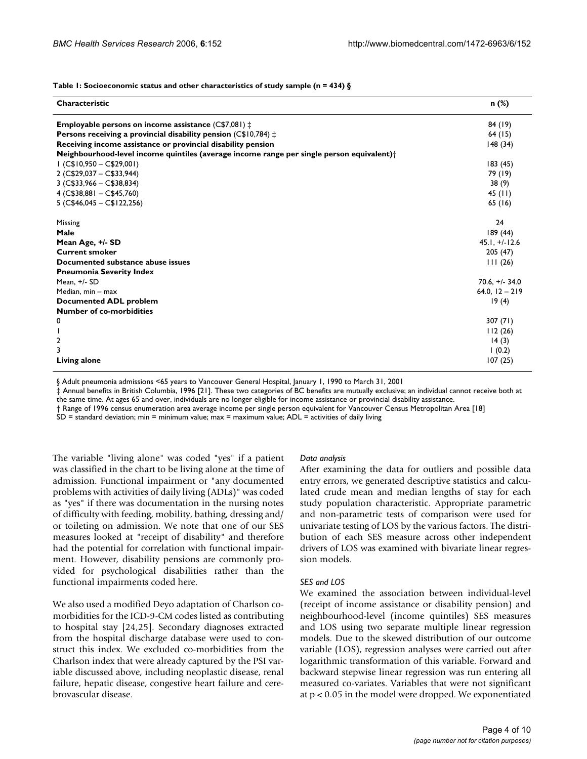| Characteristic                                                                            | n (%)            |
|-------------------------------------------------------------------------------------------|------------------|
| Employable persons on income assistance (C\$7,081) $\ddagger$                             | 84 (19)          |
| Persons receiving a provincial disability pension (C\$10,784) $\ddagger$                  | 64 (15)          |
| Receiving income assistance or provincial disability pension                              | 148(34)          |
| Neighbourhood-level income quintiles (average income range per single person equivalent)† |                  |
| $IC$10,950 - C$29,001$                                                                    | 183(45)          |
| 2 (C\$29,037 - C\$33,944)                                                                 | 79 (19)          |
| $3 (C$33,966 - C$38,834)$                                                                 | 38(9)            |
| $4 (C$38,881 - C$45,760)$                                                                 | 45 $(11)$        |
| $5 (C$46,045 - C$122,256)$                                                                | 65 (16)          |
| Missing                                                                                   | 24               |
| Male                                                                                      | 189(44)          |
| Mean Age, +/- SD                                                                          | $45.1, +/-12.6$  |
| <b>Current smoker</b>                                                                     | 205(47)          |
| Documented substance abuse issues                                                         | 111(26)          |
| <b>Pneumonia Severity Index</b>                                                           |                  |
| Mean, +/- SD                                                                              | $70.6, +/- 34.0$ |
| Median, min - max                                                                         | $64.0.12 - 219$  |
| <b>Documented ADL problem</b>                                                             | 19(4)            |
| <b>Number of co-morbidities</b>                                                           |                  |
| 0                                                                                         | 307(71)          |
|                                                                                           | 112(26)          |
| 2                                                                                         | 14(3)            |
| 3                                                                                         | 1(0.2)           |
| <b>Living alone</b>                                                                       | 107(25)          |

**Table 1: Socioeconomic status and other characteristics of study sample (n = 434) §**

§ Adult pneumonia admissions <65 years to Vancouver General Hospital, January 1, 1990 to March 31, 2001

‡ Annual benefits in British Columbia, 1996 [21]. These two categories of BC benefits are mutually exclusive; an individual cannot receive both at the same time. At ages 65 and over, individuals are no longer eligible for income assistance or provincial disability assistance.

† Range of 1996 census enumeration area average income per single person equivalent for Vancouver Census Metropolitan Area [18]

SD = standard deviation; min = minimum value; max = maximum value; ADL = activities of daily living

The variable "living alone" was coded "yes" if a patient was classified in the chart to be living alone at the time of admission. Functional impairment or "any documented problems with activities of daily living (ADLs)" was coded as "yes" if there was documentation in the nursing notes of difficulty with feeding, mobility, bathing, dressing and/ or toileting on admission. We note that one of our SES measures looked at "receipt of disability" and therefore had the potential for correlation with functional impairment. However, disability pensions are commonly provided for psychological disabilities rather than the functional impairments coded here.

We also used a modified Deyo adaptation of Charlson comorbidities for the ICD-9-CM codes listed as contributing to hospital stay [24,25]. Secondary diagnoses extracted from the hospital discharge database were used to construct this index. We excluded co-morbidities from the Charlson index that were already captured by the PSI variable discussed above, including neoplastic disease, renal failure, hepatic disease, congestive heart failure and cerebrovascular disease.

# *Data analysis*

After examining the data for outliers and possible data entry errors, we generated descriptive statistics and calculated crude mean and median lengths of stay for each study population characteristic. Appropriate parametric and non-parametric tests of comparison were used for univariate testing of LOS by the various factors. The distribution of each SES measure across other independent drivers of LOS was examined with bivariate linear regression models.

# *SES and LOS*

We examined the association between individual-level (receipt of income assistance or disability pension) and neighbourhood-level (income quintiles) SES measures and LOS using two separate multiple linear regression models. Due to the skewed distribution of our outcome variable (LOS), regression analyses were carried out after logarithmic transformation of this variable. Forward and backward stepwise linear regression was run entering all measured co-variates. Variables that were not significant at p < 0.05 in the model were dropped. We exponentiated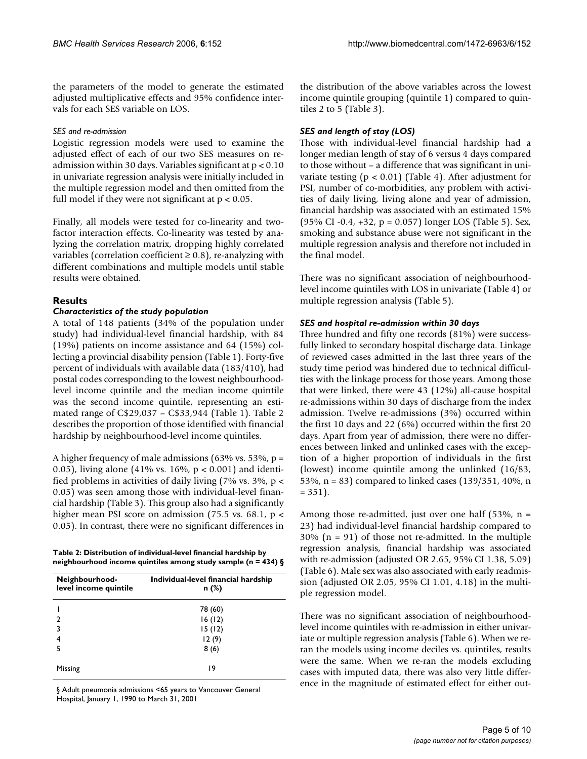the parameters of the model to generate the estimated adjusted multiplicative effects and 95% confidence intervals for each SES variable on LOS.

# *SES and re-admission*

Logistic regression models were used to examine the adjusted effect of each of our two SES measures on readmission within 30 days. Variables significant at p < 0.10 in univariate regression analysis were initially included in the multiple regression model and then omitted from the full model if they were not significant at  $p < 0.05$ .

Finally, all models were tested for co-linearity and twofactor interaction effects. Co-linearity was tested by analyzing the correlation matrix, dropping highly correlated variables (correlation coefficient  $\geq$  0.8), re-analyzing with different combinations and multiple models until stable results were obtained.

# **Results**

# *Characteristics of the study population*

A total of 148 patients (34% of the population under study) had individual-level financial hardship, with 84 (19%) patients on income assistance and 64 (15%) collecting a provincial disability pension (Table 1). Forty-five percent of individuals with available data (183/410), had postal codes corresponding to the lowest neighbourhoodlevel income quintile and the median income quintile was the second income quintile, representing an estimated range of C\$29,037 – C\$33,944 (Table 1). Table 2 describes the proportion of those identified with financial hardship by neighbourhood-level income quintiles.

A higher frequency of male admissions (63% vs. 53%,  $p =$ 0.05), living alone (41% vs. 16%, p < 0.001) and identified problems in activities of daily living (7% vs. 3%,  $p <$ 0.05) was seen among those with individual-level financial hardship (Table 3). This group also had a significantly higher mean PSI score on admission (75.5 vs. 68.1,  $p \lt \theta$ ) 0.05). In contrast, there were no significant differences in

**Table 2: Distribution of individual-level financial hardship by neighbourhood income quintiles among study sample (n = 434) §**

| Neighbourhood-<br>level income quintile | Individual-level financial hardship<br>n (%) |
|-----------------------------------------|----------------------------------------------|
|                                         | 78 (60)                                      |
| 2                                       | 16(12)                                       |
| 3                                       | 15(12)                                       |
|                                         | 12(9)                                        |
| 5                                       | 8(6)                                         |
| Missing                                 | 19                                           |

§ Adult pneumonia admissions <65 years to Vancouver General Hospital, January 1, 1990 to March 31, 2001

the distribution of the above variables across the lowest income quintile grouping (quintile 1) compared to quintiles 2 to 5 (Table 3).

# *SES and length of stay (LOS)*

Those with individual-level financial hardship had a longer median length of stay of 6 versus 4 days compared to those without – a difference that was significant in univariate testing  $(p < 0.01)$  (Table 4). After adjustment for PSI, number of co-morbidities, any problem with activities of daily living, living alone and year of admission, financial hardship was associated with an estimated 15% (95% CI -0.4, +32, p = 0.057) longer LOS (Table 5). Sex, smoking and substance abuse were not significant in the multiple regression analysis and therefore not included in the final model.

There was no significant association of neighbourhoodlevel income quintiles with LOS in univariate (Table 4) or multiple regression analysis (Table 5).

# *SES and hospital re-admission within 30 days*

Three hundred and fifty one records (81%) were successfully linked to secondary hospital discharge data. Linkage of reviewed cases admitted in the last three years of the study time period was hindered due to technical difficulties with the linkage process for those years. Among those that were linked, there were 43 (12%) all-cause hospital re-admissions within 30 days of discharge from the index admission. Twelve re-admissions (3%) occurred within the first 10 days and 22 (6%) occurred within the first 20 days. Apart from year of admission, there were no differences between linked and unlinked cases with the exception of a higher proportion of individuals in the first (lowest) income quintile among the unlinked (16/83, 53%, n = 83) compared to linked cases (139/351, 40%, n  $= 351$ .

Among those re-admitted, just over one half  $(53\%, n =$ 23) had individual-level financial hardship compared to 30% (n = 91) of those not re-admitted. In the multiple regression analysis, financial hardship was associated with re-admission (adjusted OR 2.65, 95% CI 1.38, 5.09) (Table 6). Male sex was also associated with early readmission (adjusted OR 2.05, 95% CI 1.01, 4.18) in the multiple regression model.

There was no significant association of neighbourhoodlevel income quintiles with re-admission in either univariate or multiple regression analysis (Table 6). When we reran the models using income deciles vs. quintiles, results were the same. When we re-ran the models excluding cases with imputed data, there was also very little difference in the magnitude of estimated effect for either out-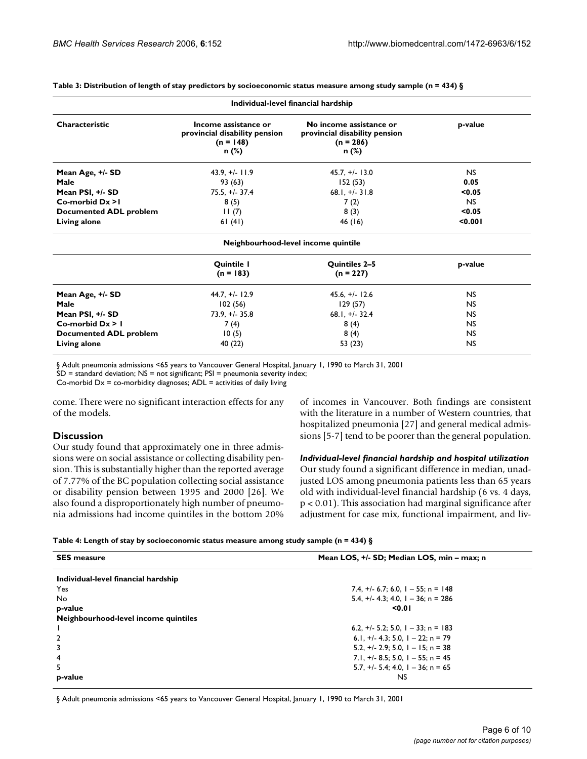| Individual-level financial hardship |                                                                               |                                                                                    |           |
|-------------------------------------|-------------------------------------------------------------------------------|------------------------------------------------------------------------------------|-----------|
| Characteristic                      | Income assistance or<br>provincial disability pension<br>$(n = 148)$<br>n (%) | No income assistance or<br>provincial disability pension<br>$(n = 286)$<br>$n$ (%) | p-value   |
| Mean Age, +/- SD                    | $43.9 + (-11.9)$                                                              | $45.7 + (-13.0)$                                                                   | <b>NS</b> |
| Male                                | 93 (63)                                                                       | 152(53)                                                                            | 0.05      |
| Mean PSI, +/- SD                    | $75.5, +/- 37.4$                                                              | $68.1, +/- 31.8$                                                                   | < 0.05    |
| $Co$ -morbid $Dx > I$               | 8(5)                                                                          | 7(2)                                                                               | NS.       |
| <b>Documented ADL problem</b>       | 11(7)                                                                         | 8(3)                                                                               | < 0.05    |
| <b>Living alone</b>                 | 61(41)                                                                        | 46(16)                                                                             | < 0.001   |

**Table 3: Distribution of length of stay predictors by socioeconomic status measure among study sample (n = 434) §**

# **Neighbourhood-level income quintile**

|                               | <b>Quintile I</b><br>$(n = 183)$ | Quintiles 2-5<br>$(n = 227)$ | p-value   |
|-------------------------------|----------------------------------|------------------------------|-----------|
| Mean Age, +/- SD              | $44.7, +/- 12.9$                 | $45.6, +/- 12.6$             | NS.       |
| Male                          | 102(56)                          | 129(57)                      | <b>NS</b> |
| Mean PSI, +/- SD              | $73.9 + - 35.8$                  | $68.1, +/- 32.4$             | <b>NS</b> |
| $Co$ -morbid $Dx > I$         | 7(4)                             | 8(4)                         | <b>NS</b> |
| <b>Documented ADL problem</b> | 10(5)                            | 8(4)                         | NS.       |
| Living alone                  | 40(22)                           | 53 (23)                      | <b>NS</b> |

§ Adult pneumonia admissions <65 years to Vancouver General Hospital, January 1, 1990 to March 31, 2001

 $SD$  = standard deviation;  $NS$  = not significant;  $PSI$  = pneumonia severity index;

Co-morbid  $Dx =$  co-morbidity diagnoses;  $ADL =$  activities of daily living

come. There were no significant interaction effects for any of the models.

# **Discussion**

Our study found that approximately one in three admissions were on social assistance or collecting disability pension. This is substantially higher than the reported average of 7.77% of the BC population collecting social assistance or disability pension between 1995 and 2000 [26]. We also found a disproportionately high number of pneumonia admissions had income quintiles in the bottom 20%

of incomes in Vancouver. Both findings are consistent with the literature in a number of Western countries, that hospitalized pneumonia [27] and general medical admissions [5-7] tend to be poorer than the general population.

*Individual-level financial hardship and hospital utilization* Our study found a significant difference in median, unadjusted LOS among pneumonia patients less than 65 years old with individual-level financial hardship (6 vs. 4 days, p < 0.01). This association had marginal significance after adjustment for case mix, functional impairment, and liv-

**Table 4: Length of stay by socioeconomic status measure among study sample (n = 434) §**

| <b>SES</b> measure                   | Mean LOS, +/- SD; Median LOS, min – max; n |  |
|--------------------------------------|--------------------------------------------|--|
| Individual-level financial hardship  |                                            |  |
| Yes                                  | 7.4, $+/- 6.7$ ; 6.0, $-55$ ; n = 148      |  |
| <b>No</b>                            | 5.4, $+/-$ 4.3; 4.0, $-$ 36; n = 286       |  |
| p-value                              | < 0.01                                     |  |
| Neighbourhood-level income quintiles |                                            |  |
|                                      | 6.2, $+/-$ 5.2; 5.0, $1 - 33$ ; n = 183    |  |
| $\overline{2}$                       | 6.1, $+/- 4.3$ ; 5.0, 1 - 22; n = 79       |  |
| 3                                    | $5.2, +/- 2.9; 5.0, 1 - 15; n = 38$        |  |
| 4                                    | 7.1, $+/-$ 8.5; 5.0, 1 - 55; n = 45        |  |
| 5                                    | $5.7, +/- 5.4; 4.0, 1 - 36; n = 65$        |  |
| p-value                              | <b>NS</b>                                  |  |

§ Adult pneumonia admissions <65 years to Vancouver General Hospital, January 1, 1990 to March 31, 2001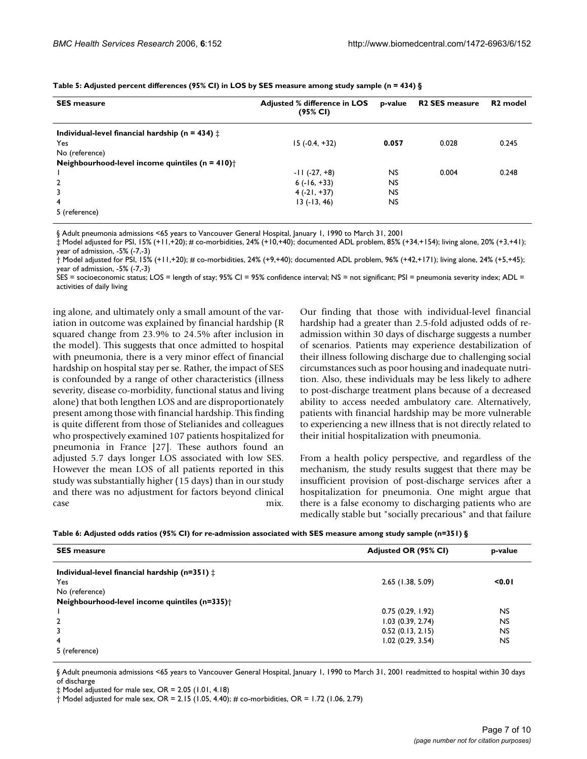| <b>SES measure</b>                                              | <b>Adjusted % difference in LOS</b><br>(95% CI) | p-value   | <b>R2 SES measure</b> | R <sub>2</sub> model |
|-----------------------------------------------------------------|-------------------------------------------------|-----------|-----------------------|----------------------|
| Individual-level financial hardship (n = 434) $\ddagger$        |                                                 |           |                       |                      |
| Yes                                                             | $15(-0.4, +32)$                                 | 0.057     | 0.028                 | 0.245                |
| No (reference)                                                  |                                                 |           |                       |                      |
| Neighbourhood-level income quintiles ( $n = 410$ ) <sup>+</sup> |                                                 |           |                       |                      |
|                                                                 | $-11(-27, +8)$                                  | <b>NS</b> | 0.004                 | 0.248                |
| $\overline{2}$                                                  | $6(-16, +33)$                                   | <b>NS</b> |                       |                      |
| 3                                                               | $4(-21, +37)$                                   | <b>NS</b> |                       |                      |
| $\overline{4}$                                                  | $13(-13, 46)$                                   | <b>NS</b> |                       |                      |
| 5 (reference)                                                   |                                                 |           |                       |                      |

**Table 5: Adjusted percent differences (95% CI) in LOS by SES measure among study sample (n = 434) §**

§ Adult pneumonia admissions <65 years to Vancouver General Hospital, January 1, 1990 to March 31, 2001

‡ Model adjusted for PSI, 15% (+11,+20); # co-morbidities, 24% (+10,+40); documented ADL problem, 85% (+34,+154); living alone, 20% (+3,+41); year of admission, -5% (-7,-3)

† Model adjusted for PSI, 15% (+11,+20); # co-morbidities, 24% (+9,+40); documented ADL problem, 96% (+42,+171); living alone, 24% (+5,+45); year of admission, -5% (-7,-3)

SES = socioeconomic status; LOS = length of stay; 95% CI = 95% confidence interval; NS = not significant; PSI = pneumonia severity index; ADL = activities of daily living

ing alone, and ultimately only a small amount of the variation in outcome was explained by financial hardship (R squared change from 23.9% to 24.5% after inclusion in the model). This suggests that once admitted to hospital with pneumonia, there is a very minor effect of financial hardship on hospital stay per se. Rather, the impact of SES is confounded by a range of other characteristics (illness severity, disease co-morbidity, functional status and living alone) that both lengthen LOS and are disproportionately present among those with financial hardship. This finding is quite different from those of Stelianides and colleagues who prospectively examined 107 patients hospitalized for pneumonia in France [27]. These authors found an adjusted 5.7 days longer LOS associated with low SES. However the mean LOS of all patients reported in this study was substantially higher (15 days) than in our study and there was no adjustment for factors beyond clinical case mix.

Our finding that those with individual-level financial hardship had a greater than 2.5-fold adjusted odds of readmission within 30 days of discharge suggests a number of scenarios. Patients may experience destabilization of their illness following discharge due to challenging social circumstances such as poor housing and inadequate nutrition. Also, these individuals may be less likely to adhere to post-discharge treatment plans because of a decreased ability to access needed ambulatory care. Alternatively, patients with financial hardship may be more vulnerable to experiencing a new illness that is not directly related to their initial hospitalization with pneumonia.

From a health policy perspective, and regardless of the mechanism, the study results suggest that there may be insufficient provision of post-discharge services after a hospitalization for pneumonia. One might argue that there is a false economy to discharging patients who are medically stable but "socially precarious" and that failure

| Table 6: Adjusted odds ratios (95% CI) for re-admission associated with SES measure among study sample (n=351) § |  |  |  |
|------------------------------------------------------------------------------------------------------------------|--|--|--|
|------------------------------------------------------------------------------------------------------------------|--|--|--|

| <b>SES</b> measure                                          | Adjusted OR (95% CI) | p-value   |
|-------------------------------------------------------------|----------------------|-----------|
| Individual-level financial hardship (n=351) $\ddagger$      |                      |           |
| Yes                                                         | $2.65$ (1.38, 5.09)  | < 0.01    |
| No (reference)                                              |                      |           |
| Neighbourhood-level income quintiles $(n=335)$ <sup>+</sup> |                      |           |
|                                                             | 0.75(0.29, 1.92)     | <b>NS</b> |
| $\overline{2}$                                              | 1.03(0.39, 2.74)     | <b>NS</b> |
| 3                                                           | 0.52(0.13, 2.15)     | <b>NS</b> |
| 4                                                           | 1.02(0.29, 3.54)     | <b>NS</b> |
| 5 (reference)                                               |                      |           |

§ Adult pneumonia admissions <65 years to Vancouver General Hospital, January 1, 1990 to March 31, 2001 readmitted to hospital within 30 days of discharge

‡ Model adjusted for male sex, OR = 2.05 (1.01, 4.18)

† Model adjusted for male sex, OR = 2.15 (1.05, 4.40); # co-morbidities, OR = 1.72 (1.06, 2.79)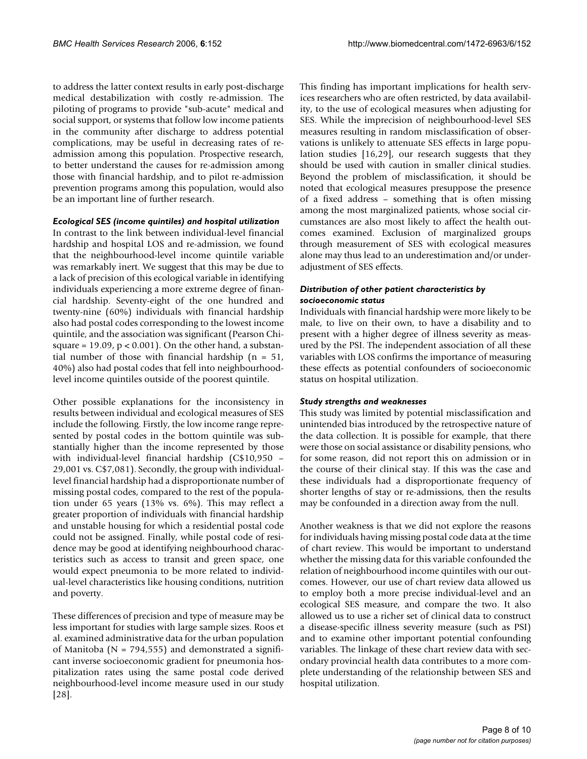to address the latter context results in early post-discharge medical destabilization with costly re-admission. The piloting of programs to provide "sub-acute" medical and social support, or systems that follow low income patients in the community after discharge to address potential complications, may be useful in decreasing rates of readmission among this population. Prospective research, to better understand the causes for re-admission among those with financial hardship, and to pilot re-admission prevention programs among this population, would also be an important line of further research.

# *Ecological SES (income quintiles) and hospital utilization*

In contrast to the link between individual-level financial hardship and hospital LOS and re-admission, we found that the neighbourhood-level income quintile variable was remarkably inert. We suggest that this may be due to a lack of precision of this ecological variable in identifying individuals experiencing a more extreme degree of financial hardship. Seventy-eight of the one hundred and twenty-nine (60%) individuals with financial hardship also had postal codes corresponding to the lowest income quintile, and the association was significant (Pearson Chisquare =  $19.09$ ,  $p < 0.001$ ). On the other hand, a substantial number of those with financial hardship ( $n = 51$ , 40%) also had postal codes that fell into neighbourhoodlevel income quintiles outside of the poorest quintile.

Other possible explanations for the inconsistency in results between individual and ecological measures of SES include the following. Firstly, the low income range represented by postal codes in the bottom quintile was substantially higher than the income represented by those with individual-level financial hardship (C\$10,950 – 29,001 vs. C\$7,081). Secondly, the group with individuallevel financial hardship had a disproportionate number of missing postal codes, compared to the rest of the population under 65 years (13% vs. 6%). This may reflect a greater proportion of individuals with financial hardship and unstable housing for which a residential postal code could not be assigned. Finally, while postal code of residence may be good at identifying neighbourhood characteristics such as access to transit and green space, one would expect pneumonia to be more related to individual-level characteristics like housing conditions, nutrition and poverty.

These differences of precision and type of measure may be less important for studies with large sample sizes. Roos et al. examined administrative data for the urban population of Manitoba ( $N = 794,555$ ) and demonstrated a significant inverse socioeconomic gradient for pneumonia hospitalization rates using the same postal code derived neighbourhood-level income measure used in our study [28].

This finding has important implications for health services researchers who are often restricted, by data availability, to the use of ecological measures when adjusting for SES. While the imprecision of neighbourhood-level SES measures resulting in random misclassification of observations is unlikely to attenuate SES effects in large population studies [16,29], our research suggests that they should be used with caution in smaller clinical studies. Beyond the problem of misclassification, it should be noted that ecological measures presuppose the presence of a fixed address – something that is often missing among the most marginalized patients, whose social circumstances are also most likely to affect the health outcomes examined. Exclusion of marginalized groups through measurement of SES with ecological measures alone may thus lead to an underestimation and/or underadjustment of SES effects.

# *Distribution of other patient characteristics by socioeconomic status*

Individuals with financial hardship were more likely to be male, to live on their own, to have a disability and to present with a higher degree of illness severity as measured by the PSI. The independent association of all these variables with LOS confirms the importance of measuring these effects as potential confounders of socioeconomic status on hospital utilization.

# *Study strengths and weaknesses*

This study was limited by potential misclassification and unintended bias introduced by the retrospective nature of the data collection. It is possible for example, that there were those on social assistance or disability pensions, who for some reason, did not report this on admission or in the course of their clinical stay. If this was the case and these individuals had a disproportionate frequency of shorter lengths of stay or re-admissions, then the results may be confounded in a direction away from the null.

Another weakness is that we did not explore the reasons for individuals having missing postal code data at the time of chart review. This would be important to understand whether the missing data for this variable confounded the relation of neighbourhood income quintiles with our outcomes. However, our use of chart review data allowed us to employ both a more precise individual-level and an ecological SES measure, and compare the two. It also allowed us to use a richer set of clinical data to construct a disease-specific illness severity measure (such as PSI) and to examine other important potential confounding variables. The linkage of these chart review data with secondary provincial health data contributes to a more complete understanding of the relationship between SES and hospital utilization.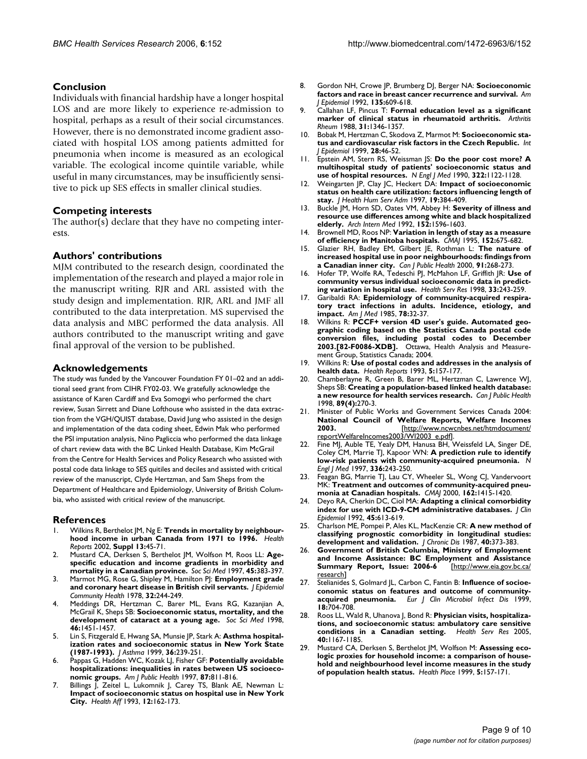# **Conclusion**

Individuals with financial hardship have a longer hospital LOS and are more likely to experience re-admission to hospital, perhaps as a result of their social circumstances. However, there is no demonstrated income gradient associated with hospital LOS among patients admitted for pneumonia when income is measured as an ecological variable. The ecological income quintile variable, while useful in many circumstances, may be insufficiently sensitive to pick up SES effects in smaller clinical studies.

### **Competing interests**

The author(s) declare that they have no competing interests.

# **Authors' contributions**

MJM contributed to the research design, coordinated the implementation of the research and played a major role in the manuscript writing. RJR and ARL assisted with the study design and implementation. RJR, ARL and JMF all contributed to the data interpretation. MS supervised the data analysis and MBC performed the data analysis. All authors contributed to the manuscript writing and gave final approval of the version to be published.

#### **Acknowledgements**

The study was funded by the Vancouver Foundation FY 01–02 and an additional seed grant from CIHR FY02-03. We gratefully acknowledge the assistance of Karen Cardiff and Eva Somogyi who performed the chart review, Susan Sirrett and Diane Lofthouse who assisted in the data extraction from the VGH/QUIST database, David Jung who assisted in the design and implementation of the data coding sheet, Edwin Mak who performed the PSI imputation analysis, Nino Pagliccia who performed the data linkage of chart review data with the BC Linked Health Database, Kim McGrail from the Centre for Health Services and Policy Research who assisted with postal code data linkage to SES quitiles and deciles and assisted with critical review of the manuscript, Clyde Hertzman, and Sam Sheps from the Department of Healthcare and Epidemiology, University of British Columbia, who assisted with critical review of the manuscript.

#### **References**

- 1. Wilkins R, Berthelot JM, Ng E: **Trends in mortality by neighbourhood income in urban Canada from 1971 to 1996.** *Health Reports* 2002, **Suppl 13:**45-71.
- 2. Mustard CA, Derksen S, Berthelot JM, Wolfson M, Roos LL: **[Age](http://www.ncbi.nlm.nih.gov/entrez/query.fcgi?cmd=Retrieve&db=PubMed&dopt=Abstract&list_uids=9232733)[specific education and income gradients in morbidity and](http://www.ncbi.nlm.nih.gov/entrez/query.fcgi?cmd=Retrieve&db=PubMed&dopt=Abstract&list_uids=9232733) [mortality in a Canadian province.](http://www.ncbi.nlm.nih.gov/entrez/query.fcgi?cmd=Retrieve&db=PubMed&dopt=Abstract&list_uids=9232733)** *Soc Sci Med* 1997, **45:**383-397.
- 3. Marmot MG, Rose G, Shipley M, Hamilton PJ: **[Employment grade](http://www.ncbi.nlm.nih.gov/entrez/query.fcgi?cmd=Retrieve&db=PubMed&dopt=Abstract&list_uids=744814) [and coronary heart disease in British civil servants.](http://www.ncbi.nlm.nih.gov/entrez/query.fcgi?cmd=Retrieve&db=PubMed&dopt=Abstract&list_uids=744814)** *J Epidemiol Community Health* 1978, **32:**244-249.
- 4. Meddings DR, Hertzman C, Barer ML, Evans RG, Kazanjian A, McGrail K, Sheps SB: **[Socioeconomic status, mortality, and the](http://www.ncbi.nlm.nih.gov/entrez/query.fcgi?cmd=Retrieve&db=PubMed&dopt=Abstract&list_uids=9665575) [development of cataract at a young age.](http://www.ncbi.nlm.nih.gov/entrez/query.fcgi?cmd=Retrieve&db=PubMed&dopt=Abstract&list_uids=9665575)** *Soc Sci Med* 1998, **46:**1451-1457.
- 5. Lin S, Fitzgerald E, Hwang SA, Munsie JP, Stark A: **[Asthma hospital](http://www.ncbi.nlm.nih.gov/entrez/query.fcgi?cmd=Retrieve&db=PubMed&dopt=Abstract&list_uids=10350220)[ization rates and socioeconomic status in New York State](http://www.ncbi.nlm.nih.gov/entrez/query.fcgi?cmd=Retrieve&db=PubMed&dopt=Abstract&list_uids=10350220) [\(1987-1993\).](http://www.ncbi.nlm.nih.gov/entrez/query.fcgi?cmd=Retrieve&db=PubMed&dopt=Abstract&list_uids=10350220)** *J Asthma* 1999, **36:**239-251.
- 6. Pappas G, Hadden WC, Kozak LJ, Fisher GF: **[Potentially avoidable](http://www.ncbi.nlm.nih.gov/entrez/query.fcgi?cmd=Retrieve&db=PubMed&dopt=Abstract&list_uids=9184511) [hospitalizations: inequalities in rates between US socioeco](http://www.ncbi.nlm.nih.gov/entrez/query.fcgi?cmd=Retrieve&db=PubMed&dopt=Abstract&list_uids=9184511)[nomic groups.](http://www.ncbi.nlm.nih.gov/entrez/query.fcgi?cmd=Retrieve&db=PubMed&dopt=Abstract&list_uids=9184511)** *Am J Public Health* 1997, **87:**811-816.
- 7. Billings J, Zeitel L, Lukomnik J, Carey TS, Blank AE, Newman L: **Impact of socioeconomic status on hospital use in New York City.** *Health Aff* 1993, **12:**162-173.
- 8. Gordon NH, Crowe JP, Brumberg DJ, Berger NA: **[Socioeconomic](http://www.ncbi.nlm.nih.gov/entrez/query.fcgi?cmd=Retrieve&db=PubMed&dopt=Abstract&list_uids=1580237) [factors and race in breast cancer recurrence and survival.](http://www.ncbi.nlm.nih.gov/entrez/query.fcgi?cmd=Retrieve&db=PubMed&dopt=Abstract&list_uids=1580237)** *Am J Epidemiol* 1992, **135:**609-618.
- 9. Callahan LF, Pincus T: **[Formal education level as a significant](http://www.ncbi.nlm.nih.gov/entrez/query.fcgi?cmd=Retrieve&db=PubMed&dopt=Abstract&list_uids=3190781) [marker of clinical status in rheumatoid arthritis.](http://www.ncbi.nlm.nih.gov/entrez/query.fcgi?cmd=Retrieve&db=PubMed&dopt=Abstract&list_uids=3190781)** *Arthritis Rheum* 1988, **31:**1346-1357.
- 10. Bobak M, Hertzman C, Skodova Z, Marmot M: **[Socioeconomic sta](http://www.ncbi.nlm.nih.gov/entrez/query.fcgi?cmd=Retrieve&db=PubMed&dopt=Abstract&list_uids=10195663)[tus and cardiovascular risk factors in the Czech Republic.](http://www.ncbi.nlm.nih.gov/entrez/query.fcgi?cmd=Retrieve&db=PubMed&dopt=Abstract&list_uids=10195663)** *Int J Epidemiol* 1999, **28:**46-52.
- 11. Epstein AM, Stern RS, Weissman JS: **[Do the poor cost more? A](http://www.ncbi.nlm.nih.gov/entrez/query.fcgi?cmd=Retrieve&db=PubMed&dopt=Abstract&list_uids=2108331) [multihospital study of patients' socioeconomic status and](http://www.ncbi.nlm.nih.gov/entrez/query.fcgi?cmd=Retrieve&db=PubMed&dopt=Abstract&list_uids=2108331) [use of hospital resources.](http://www.ncbi.nlm.nih.gov/entrez/query.fcgi?cmd=Retrieve&db=PubMed&dopt=Abstract&list_uids=2108331)** *N Engl J Med* 1990, **322:**1122-1128.
- 12. Weingarten JP, Clay JC, Heckert DA: **[Impact of socioeconomic](http://www.ncbi.nlm.nih.gov/entrez/query.fcgi?cmd=Retrieve&db=PubMed&dopt=Abstract&list_uids=10175519) [status on health care utilization: factors influencing length of](http://www.ncbi.nlm.nih.gov/entrez/query.fcgi?cmd=Retrieve&db=PubMed&dopt=Abstract&list_uids=10175519) [stay.](http://www.ncbi.nlm.nih.gov/entrez/query.fcgi?cmd=Retrieve&db=PubMed&dopt=Abstract&list_uids=10175519)** *J Health Hum Serv Adm* 1997, **19:**384-409.
- 13. Buckle JM, Horn SD, Oates VM, Abbey H: **[Severity of illness and](http://www.ncbi.nlm.nih.gov/entrez/query.fcgi?cmd=Retrieve&db=PubMed&dopt=Abstract&list_uids=1497393) [resource use differences among white and black hospitalized](http://www.ncbi.nlm.nih.gov/entrez/query.fcgi?cmd=Retrieve&db=PubMed&dopt=Abstract&list_uids=1497393) [elderly.](http://www.ncbi.nlm.nih.gov/entrez/query.fcgi?cmd=Retrieve&db=PubMed&dopt=Abstract&list_uids=1497393)** *Arch Intern Med* 1992, **152:**1596-1603.
- 14. Brownell MD, Roos NP: **[Variation in length of stay as a measure](http://www.ncbi.nlm.nih.gov/entrez/query.fcgi?cmd=Retrieve&db=PubMed&dopt=Abstract&list_uids=7882230) [of efficiency in Manitoba hospitals.](http://www.ncbi.nlm.nih.gov/entrez/query.fcgi?cmd=Retrieve&db=PubMed&dopt=Abstract&list_uids=7882230)** *CMAJ* 1995, **152:**675-682.
- 15. Glazier RH, Badley EM, Gilbert JE, Rothman L: **[The nature of](http://www.ncbi.nlm.nih.gov/entrez/query.fcgi?cmd=Retrieve&db=PubMed&dopt=Abstract&list_uids=10986783) [increased hospital use in poor neighbourhoods: findings from](http://www.ncbi.nlm.nih.gov/entrez/query.fcgi?cmd=Retrieve&db=PubMed&dopt=Abstract&list_uids=10986783) [a Canadian inner city.](http://www.ncbi.nlm.nih.gov/entrez/query.fcgi?cmd=Retrieve&db=PubMed&dopt=Abstract&list_uids=10986783)** *Can J Public Health* 2000, **91:**268-273.
- 16. Hofer TP, Wolfe RA, Tedeschi PJ, McMahon LF, Griffith JR: **[Use of](http://www.ncbi.nlm.nih.gov/entrez/query.fcgi?cmd=Retrieve&db=PubMed&dopt=Abstract&list_uids=9618670) [community versus individual socioeconomic data in predict](http://www.ncbi.nlm.nih.gov/entrez/query.fcgi?cmd=Retrieve&db=PubMed&dopt=Abstract&list_uids=9618670)[ing variation in hospital use.](http://www.ncbi.nlm.nih.gov/entrez/query.fcgi?cmd=Retrieve&db=PubMed&dopt=Abstract&list_uids=9618670)** *Health Serv Res* 1998, **33:**243-259.
- 17. Garibaldi RA: **[Epidemiology of community-acquired respira](http://www.ncbi.nlm.nih.gov/entrez/query.fcgi?cmd=Retrieve&db=PubMed&dopt=Abstract&list_uids=4014285)[tory tract infections in adults. Incidence, etiology, and](http://www.ncbi.nlm.nih.gov/entrez/query.fcgi?cmd=Retrieve&db=PubMed&dopt=Abstract&list_uids=4014285) [impact.](http://www.ncbi.nlm.nih.gov/entrez/query.fcgi?cmd=Retrieve&db=PubMed&dopt=Abstract&list_uids=4014285)** *Am J Med* 1985, **78:**32-37.
- 18. Wilkins R: **PCCF+ version 4D user's guide. Automated geographic coding based on the Statistics Canada postal code conversion files, including postal codes to December 2003.[82-F0086-XDB].** Ottawa, Health Analysis and Measurement Group, Statistics Canada; 2004.
- 19. Wilkins R: **[Use of postal codes and addresses in the analysis of](http://www.ncbi.nlm.nih.gov/entrez/query.fcgi?cmd=Retrieve&db=PubMed&dopt=Abstract&list_uids=8292756) [health data.](http://www.ncbi.nlm.nih.gov/entrez/query.fcgi?cmd=Retrieve&db=PubMed&dopt=Abstract&list_uids=8292756)** *Health Reports* 1993, **5:**157-177.
- 20. Chamberlayne R, Green B, Barer ML, Hertzman C, Lawrence WJ, Sheps SB: **[Creating a population-based linked health database:](http://www.ncbi.nlm.nih.gov/entrez/query.fcgi?cmd=Retrieve&db=PubMed&dopt=Abstract&list_uids=9735524) [a new resource for health services research.](http://www.ncbi.nlm.nih.gov/entrez/query.fcgi?cmd=Retrieve&db=PubMed&dopt=Abstract&list_uids=9735524)** *Can J Public Health* 1998, **89(4):**270-3.
- 21. Minister of Public Works and Government Services Canada 2004: **National Council of Welfare Reports, Welfare Incomes 2003.** [[http://www.ncwcnbes.net/htmdocument/](http://www.ncwcnbes.net/htmdocument/reportWelfareIncomes2003/WI2003_e.pdf) [reportWelfareIncomes2003/WI2003\\_e.pdf\]](http://www.ncwcnbes.net/htmdocument/reportWelfareIncomes2003/WI2003_e.pdf).
- 22. Fine MJ, Auble TE, Yealy DM, Hanusa BH, Weissfeld LA, Singer DE, Coley CM, Marrie TJ, Kapoor WN: **[A prediction rule to identify](http://www.ncbi.nlm.nih.gov/entrez/query.fcgi?cmd=Retrieve&db=PubMed&dopt=Abstract&list_uids=8995086) [low-risk patients with community-acquired pneumonia.](http://www.ncbi.nlm.nih.gov/entrez/query.fcgi?cmd=Retrieve&db=PubMed&dopt=Abstract&list_uids=8995086)** *N Engl J Med* 1997, **336:**243-250.
- 23. Feagan BG, Marrie TJ, Lau CY, Wheeler SL, Wong CJ, Vandervoort MK: **[Treatment and outcomes of community-acquired pneu](http://www.ncbi.nlm.nih.gov/entrez/query.fcgi?cmd=Retrieve&db=PubMed&dopt=Abstract&list_uids=10834044)[monia at Canadian hospitals.](http://www.ncbi.nlm.nih.gov/entrez/query.fcgi?cmd=Retrieve&db=PubMed&dopt=Abstract&list_uids=10834044)** *CMAJ* 2000, **162:**1415-1420.
- 24. Deyo RA, Cherkin DC, Ciol MA: **[Adapting a clinical comorbidity](http://www.ncbi.nlm.nih.gov/entrez/query.fcgi?cmd=Retrieve&db=PubMed&dopt=Abstract&list_uids=1607900) [index for use with ICD-9-CM administrative databases.](http://www.ncbi.nlm.nih.gov/entrez/query.fcgi?cmd=Retrieve&db=PubMed&dopt=Abstract&list_uids=1607900)** *J Clin Epidemiol* 1992, **45:**613-619.
- 25. Charlson ME, Pompei P, Ales KL, MacKenzie CR: **[A new method of](http://www.ncbi.nlm.nih.gov/entrez/query.fcgi?cmd=Retrieve&db=PubMed&dopt=Abstract&list_uids=3558716) [classifying prognostic comorbidity in longitudinal studies:](http://www.ncbi.nlm.nih.gov/entrez/query.fcgi?cmd=Retrieve&db=PubMed&dopt=Abstract&list_uids=3558716) [development and validation.](http://www.ncbi.nlm.nih.gov/entrez/query.fcgi?cmd=Retrieve&db=PubMed&dopt=Abstract&list_uids=3558716)** *J Chronic Dis* 1987, **40:**373-383.
- 26. **Government of British Columbia, Ministry of Employment and Income Assistance: BC Employment and Assistance Summary Report, Issue: 2006-6** [\[http://www.eia.gov.bc.ca/](http://www.eia.gov.bc.ca/research) [research](http://www.eia.gov.bc.ca/research)]
- 27. Stelianides S, Golmard JL, Carbon C, Fantin B: **[Influence of socioe](http://www.ncbi.nlm.nih.gov/entrez/query.fcgi?cmd=Retrieve&db=PubMed&dopt=Abstract&list_uids=10584896)[conomic status on features and outcome of community](http://www.ncbi.nlm.nih.gov/entrez/query.fcgi?cmd=Retrieve&db=PubMed&dopt=Abstract&list_uids=10584896)[acquired pneumonia.](http://www.ncbi.nlm.nih.gov/entrez/query.fcgi?cmd=Retrieve&db=PubMed&dopt=Abstract&list_uids=10584896)** *Eur J Clin Microbiol Infect Dis* 1999, **18:**704-708.
- 28. Roos LL, Wald R, Uhanova J, Bond R: **[Physician visits, hospitaliza](http://www.ncbi.nlm.nih.gov/entrez/query.fcgi?cmd=Retrieve&db=PubMed&dopt=Abstract&list_uids=16033498)[tions, and socioeconomic status: ambulatory care sensitive](http://www.ncbi.nlm.nih.gov/entrez/query.fcgi?cmd=Retrieve&db=PubMed&dopt=Abstract&list_uids=16033498)** [conditions in a Canadian setting.](http://www.ncbi.nlm.nih.gov/entrez/query.fcgi?cmd=Retrieve&db=PubMed&dopt=Abstract&list_uids=16033498) **40:**1167-1185.
- 29. Mustard CA, Derksen S, Berthelot JM, Wolfson M: **[Assessing eco](http://www.ncbi.nlm.nih.gov/entrez/query.fcgi?cmd=Retrieve&db=PubMed&dopt=Abstract&list_uids=10670997)[logic proxies for household income: a comparison of house](http://www.ncbi.nlm.nih.gov/entrez/query.fcgi?cmd=Retrieve&db=PubMed&dopt=Abstract&list_uids=10670997)hold and neighbourhood level income measures in the study [of population health status.](http://www.ncbi.nlm.nih.gov/entrez/query.fcgi?cmd=Retrieve&db=PubMed&dopt=Abstract&list_uids=10670997)** *Health Place* 1999, **5:**157-171.